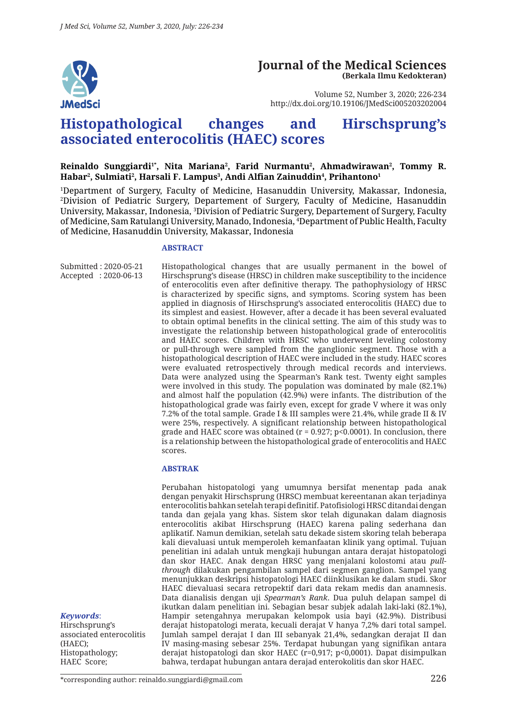

#### **Journal of the Medical Sciences (Berkala Ilmu Kedokteran)**

Volume 52, Number 3, 2020; 226-234 http://dx.doi.org/10.19106/JMedSci005203202004

# **Histopathological changes and Hirschsprung's associated enterocolitis (HAEC) scores**

#### Reinaldo Sunggiardi<sup>1</sup>\*, Nita Mariana<sup>2</sup>, Farid Nurmantu<sup>2</sup>, Ahmadwirawan<sup>2</sup>, Tommy R.  ${\bf H}$ abar², Sulmiati², Harsali F. Lampus $^3$ , Andi Alfian Zainuddin $^4$ , Prihantono $^1$

1 Department of Surgery, Faculty of Medicine, Hasanuddin University, Makassar, Indonesia, 2 Division of Pediatric Surgery, Departement of Surgery, Faculty of Medicine, Hasanuddin University, Makassar, Indonesia, <sup>3</sup>Division of Pediatric Surgery, Departement of Surgery, Faculty of Medicine, Sam Ratulangi University, Manado, Indonesia, 4 Department of Public Health, Faculty of Medicine, Hasanuddin University, Makassar, Indonesia

#### **ABSTRACT**

Submitted : 2020-05-21 Accepted : 2020-06-13 Histopathological changes that are usually permanent in the bowel of Hirschsprung's disease (HRSC) in children make susceptibility to the incidence of enterocolitis even after definitive therapy. The pathophysiology of HRSC is characterized by specific signs, and symptoms. Scoring system has been applied in diagnosis of Hirschsprung's associated enterocolitis (HAEC) due to its simplest and easiest. However, after a decade it has been several evaluated to obtain optimal benefits in the clinical setting. The aim of this study was to investigate the relationship between histopathological grade of enterocolitis and HAEC scores. Children with HRSC who underwent leveling colostomy or pull-through were sampled from the ganglionic segment. Those with a histopathological description of HAEC were included in the study. HAEC scores were evaluated retrospectively through medical records and interviews. Data were analyzed using the Spearman's Rank test. Twenty eight samples were involved in this study. The population was dominated by male (82.1%) and almost half the population (42.9%) were infants. The distribution of the histopathological grade was fairly even, except for grade V where it was only 7.2% of the total sample. Grade I & III samples were 21.4%, while grade II & IV were 25%, respectively. A significant relationship between histopathological grade and HAEC score was obtained ( $r = 0.927$ ; p<0.0001). In conclusion, there is a relationship between the histopathological grade of enterocolitis and HAEC scores.

#### **ABSTRAK**

Perubahan histopatologi yang umumnya bersifat menentap pada anak dengan penyakit Hirschsprung (HRSC) membuat kereentanan akan terjadinya enterocolitis bahkan setelah terapi definitif. Patofisiologi HRSC ditandai dengan tanda dan gejala yang khas. Sistem skor telah digunakan dalam diagnosis enterocolitis akibat Hirschsprung (HAEC) karena paling sederhana dan aplikatif. Namun demikian, setelah satu dekade sistem skoring telah beberapa kali dievaluasi untuk memperoleh kemanfaatan klinik yang optimal. Tujuan penelitian ini adalah untuk mengkaji hubungan antara derajat histopatologi dan skor HAEC. Anak dengan HRSC yang menjalani kolostomi atau *pullthrough* dilakukan pengambilan sampel dari segmen ganglion. Sampel yang menunjukkan deskripsi histopatologi HAEC diinklusikan ke dalam studi. Skor HAEC dievaluasi secara retropektif dari data rekam medis dan anamnesis. Data dianalisis dengan uji *Spearman's Rank*. Dua puluh delapan sampel di ikutkan dalam penelitian ini. Sebagian besar subjek adalah laki-laki (82.1%), Hampir setengahnya merupakan kelompok usia bayi (42.9%). Distribusi derajat histopatologi merata, kecuali derajat V hanya 7,2% dari total sampel. Jumlah sampel derajat I dan III sebanyak 21,4%, sedangkan derajat II dan IV masing-masing sebesar 25%. Terdapat hubungan yang signifikan antara derajat histopatologi dan skor HAEC (r=0,917; p<0,0001). Dapat disimpulkan bahwa, terdapat hubungan antara derajad enterokolitis dan skor HAEC.

*Keywords*:

Hirschsprung's associated enterocolitis (HAEC); Histopathology; HAEC Score;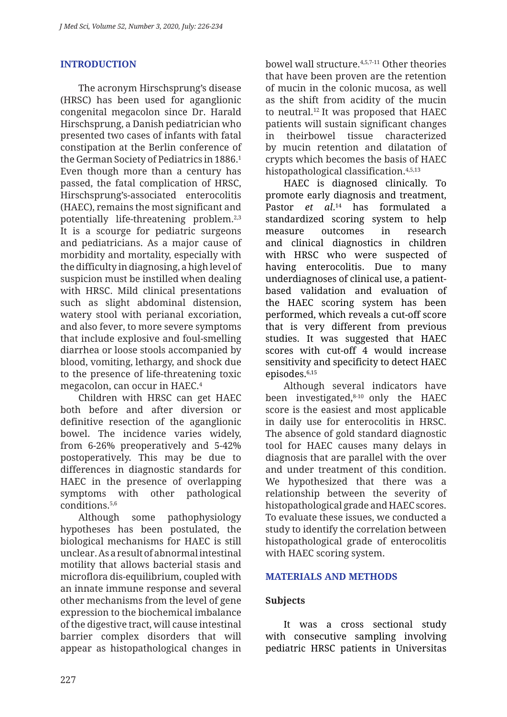# **INTRODUCTION**

The acronym Hirschsprung's disease (HRSC) has been used for aganglionic congenital megacolon since Dr. Harald Hirschsprung, a Danish pediatrician who presented two cases of infants with fatal constipation at the Berlin conference of the German Society of Pediatrics in 1886.<sup>1</sup> Even though more than a century has passed, the fatal complication of HRSC, Hirschsprung's-associated enterocolitis (HAEC), remains the most significant and potentially life-threatening problem.2,3 It is a scourge for pediatric surgeons and pediatricians. As a major cause of morbidity and mortality, especially with the difficulty in diagnosing, a high level of suspicion must be instilled when dealing with HRSC. Mild clinical presentations such as slight abdominal distension, watery stool with perianal excoriation, and also fever, to more severe symptoms that include explosive and foul-smelling diarrhea or loose stools accompanied by blood, vomiting, lethargy, and shock due to the presence of life-threatening toxic megacolon, can occur in HAEC.4

Children with HRSC can get HAEC both before and after diversion or definitive resection of the aganglionic bowel. The incidence varies widely, from 6-26% preoperatively and 5-42% postoperatively. This may be due to differences in diagnostic standards for HAEC in the presence of overlapping symptoms with other pathological conditions.5,6

Although some pathophysiology hypotheses has been postulated, the biological mechanisms for HAEC is still unclear. As a result of abnormal intestinal motility that allows bacterial stasis and microflora dis-equilibrium, coupled with an innate immune response and several other mechanisms from the level of gene expression to the biochemical imbalance of the digestive tract, will cause intestinal barrier complex disorders that will appear as histopathological changes in bowel wall structure.4,5,7-11 Other theories that have been proven are the retention of mucin in the colonic mucosa, as well as the shift from acidity of the mucin to neutral.12 It was proposed that HAEC patients will sustain significant changes in theirbowel tissue characterized by mucin retention and dilatation of crypts which becomes the basis of HAEC histopathological classification.<sup>4,5,13</sup>

HAEC is diagnosed clinically. To promote early diagnosis and treatment, Pastor *et al*. 14 has formulated a standardized scoring system to help measure outcomes in research and clinical diagnostics in children with HRSC who were suspected of having enterocolitis. Due to many underdiagnoses of clinical use, a patientbased validation and evaluation of the HAEC scoring system has been performed, which reveals a cut-off score that is very different from previous studies. It was suggested that HAEC scores with cut-off 4 would increase sensitivity and specificity to detect HAEC episodes.<sup>6,15</sup>

Although several indicators have been investigated,8-10 only the HAEC score is the easiest and most applicable in daily use for enterocolitis in HRSC. The absence of gold standard diagnostic tool for HAEC causes many delays in diagnosis that are parallel with the over and under treatment of this condition. We hypothesized that there was a relationship between the severity of histopathological grade and HAEC scores. To evaluate these issues, we conducted a study to identify the correlation between histopathological grade of enterocolitis with HAEC scoring system.

### **MATERIALS AND METHODS**

### **Subjects**

It was a cross sectional study with consecutive sampling involving pediatric HRSC patients in Universitas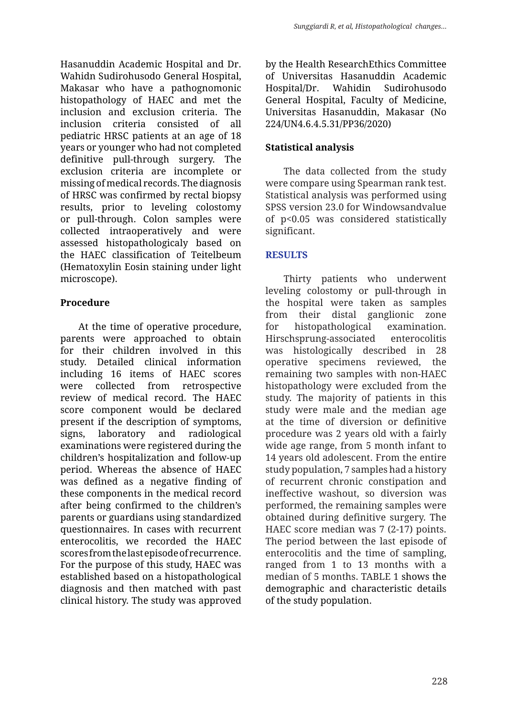Hasanuddin Academic Hospital and Dr. Wahidn Sudirohusodo General Hospital, Makasar who have a pathognomonic histopathology of HAEC and met the inclusion and exclusion criteria. The inclusion criteria consisted of all pediatric HRSC patients at an age of 18 years or younger who had not completed definitive pull-through surgery. The exclusion criteria are incomplete or missing of medical records. The diagnosis of HRSC was confirmed by rectal biopsy results, prior to leveling colostomy or pull-through. Colon samples were collected intraoperatively and were assessed histopathologicaly based on the HAEC classification of Teitelbeum (Hematoxylin Eosin staining under light microscope).

# **Procedure**

At the time of operative procedure, parents were approached to obtain for their children involved in this study. Detailed clinical information including 16 items of HAEC scores were collected from retrospective review of medical record. The HAEC score component would be declared present if the description of symptoms, signs, laboratory and radiological examinations were registered during the children's hospitalization and follow-up period. Whereas the absence of HAEC was defined as a negative finding of these components in the medical record after being confirmed to the children's parents or guardians using standardized questionnaires. In cases with recurrent enterocolitis, we recorded the HAEC scores from the last episode of recurrence. For the purpose of this study, HAEC was established based on a histopathological diagnosis and then matched with past clinical history. The study was approved by the Health ResearchEthics Committee of Universitas Hasanuddin Academic Hospital/Dr. Wahidin Sudirohusodo General Hospital, Faculty of Medicine, Universitas Hasanuddin, Makasar (No 224/UN4.6.4.5.31/PP36/2020)

# **Statistical analysis**

The data collected from the study were compare using Spearman rank test. Statistical analysis was performed using SPSS version 23.0 for Windowsandvalue of p<0.05 was considered statistically significant.

# **RESULTS**

Thirty patients who underwent leveling colostomy or pull-through in the hospital were taken as samples from their distal ganglionic zone for histopathological examination. Hirschsprung-associated enterocolitis was histologically described in 28 operative specimens reviewed, the remaining two samples with non-HAEC histopathology were excluded from the study. The majority of patients in this study were male and the median age at the time of diversion or definitive procedure was 2 years old with a fairly wide age range, from 5 month infant to 14 years old adolescent. From the entire study population, 7 samples had a history of recurrent chronic constipation and ineffective washout, so diversion was performed, the remaining samples were obtained during definitive surgery. The HAEC score median was 7 (2-17) points. The period between the last episode of enterocolitis and the time of sampling, ranged from 1 to 13 months with a median of 5 months. TABLE 1 shows the demographic and characteristic details of the study population.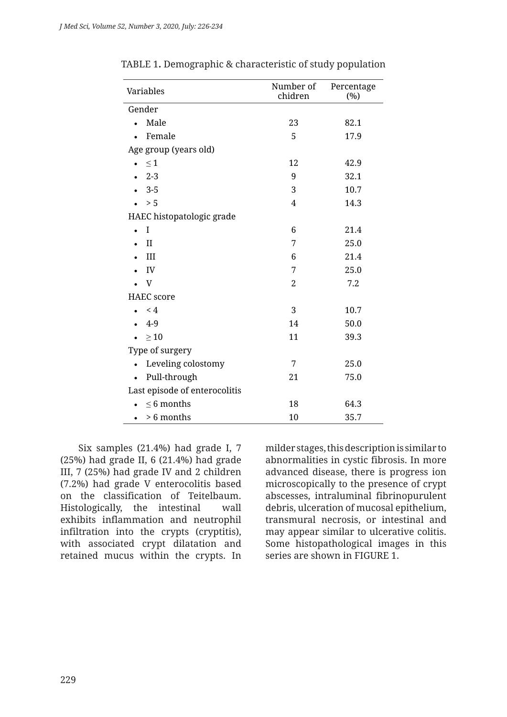| Variables                     | Number of<br>chidren | Percentage<br>(%) |  |  |  |  |
|-------------------------------|----------------------|-------------------|--|--|--|--|
| Gender                        |                      |                   |  |  |  |  |
| Male                          | 23                   | 82.1              |  |  |  |  |
| Female                        | 5                    | 17.9              |  |  |  |  |
| Age group (years old)         |                      |                   |  |  |  |  |
| $\leq 1$                      | 12                   | 42.9              |  |  |  |  |
| $2 - 3$                       | 9                    | 32.1              |  |  |  |  |
| $3-5$                         | 3                    | 10.7              |  |  |  |  |
| > 5                           | $\overline{4}$       | 14.3              |  |  |  |  |
| HAEC histopatologic grade     |                      |                   |  |  |  |  |
| I                             | 6                    | 21.4              |  |  |  |  |
| $\mathbf{I}$                  | 7                    | 25.0              |  |  |  |  |
| III                           | 6                    | 21.4              |  |  |  |  |
| IV                            | 7                    | 25.0              |  |  |  |  |
| $\mathbf{V}$                  | $\overline{2}$       | 7.2               |  |  |  |  |
| <b>HAEC</b> score             |                      |                   |  |  |  |  |
| $\leq 4$                      | 3                    | 10.7              |  |  |  |  |
| $4-9$                         | 14                   | 50.0              |  |  |  |  |
| $\geq 10$                     | 11                   | 39.3              |  |  |  |  |
| Type of surgery               |                      |                   |  |  |  |  |
| Leveling colostomy            | 7                    | 25.0              |  |  |  |  |
| Pull-through<br>$\bullet$     | 21                   | 75.0              |  |  |  |  |
| Last episode of enterocolitis |                      |                   |  |  |  |  |
| $\leq 6$ months               | 18                   | 64.3              |  |  |  |  |
| > 6 months                    | 10                   | 35.7              |  |  |  |  |

TABLE 1**.** Demographic & characteristic of study population

Six samples (21.4%) had grade I, 7 (25%) had grade II, 6 (21.4%) had grade III, 7 (25%) had grade IV and 2 children (7.2%) had grade V enterocolitis based on the classification of Teitelbaum. Histologically, the intestinal wall exhibits inflammation and neutrophil infiltration into the crypts (cryptitis), with associated crypt dilatation and retained mucus within the crypts. In milder stages, this description is similar to abnormalities in cystic fibrosis. In more advanced disease, there is progress ion microscopically to the presence of crypt abscesses, intraluminal fibrinopurulent debris, ulceration of mucosal epithelium, transmural necrosis, or intestinal and may appear similar to ulcerative colitis. Some histopathological images in this series are shown in FIGURE 1.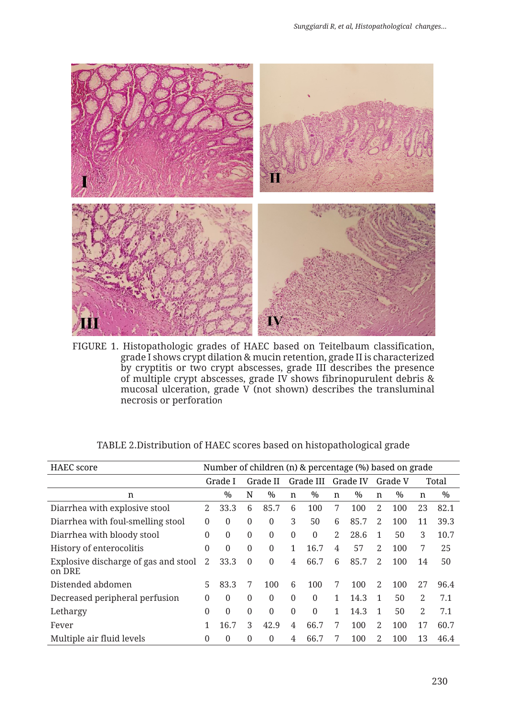

FIGURE 1. Histopathologic grades of HAEC based on Teitelbaum classification, grade I shows crypt dilation & mucin retention, grade II is characterized by cryptitis or two crypt abscesses, grade III describes the presence of multiple crypt abscesses, grade IV shows fibrinopurulent debris & mucosal ulceration, grade V (not shown) describes the transluminal necrosis or perforation

| <b>HAEC</b> score                              | Number of children (n) & percentage (%) based on grade |               |              |               |              |              |              |          |    |         |    |       |
|------------------------------------------------|--------------------------------------------------------|---------------|--------------|---------------|--------------|--------------|--------------|----------|----|---------|----|-------|
|                                                |                                                        | Grade I       |              | Grade II      |              | Grade III    |              | Grade IV |    | Grade V |    | Total |
| n                                              |                                                        | $\frac{0}{0}$ | N            | $\frac{0}{0}$ | n            | $\%$         | n            | $\%$     | n  | $\%$    | n  | $\%$  |
| Diarrhea with explosive stool                  | $\mathbf{2}^{\prime}$                                  | 33.3          | 6            | 85.7          | 6            | 100          | 7            | 100      | 2  | 100     | 23 | 82.1  |
| Diarrhea with foul-smelling stool              | $\Omega$                                               | $\Omega$      | $\theta$     | $\Omega$      | 3            | 50           | 6            | 85.7     | 2  | 100     | 11 | 39.3  |
| Diarrhea with bloody stool                     | $\Omega$                                               | $\mathbf{0}$  | $\theta$     | 0             | $\theta$     | $\theta$     | 2            | 28.6     | 1  | 50      | 3  | 10.7  |
| History of enterocolitis                       | $\Omega$                                               | $\mathbf{0}$  | $\theta$     | $\theta$      | 1            | 16.7         | 4            | 57       | 2  | 100     | 7  | 25    |
| Explosive discharge of gas and stool<br>on DRE | 2                                                      | 33.3          | $\theta$     | $\Omega$      | 4            | 66.7         | 6            | 85.7     | 2  | 100     | 14 | 50    |
| Distended abdomen                              | 5                                                      | 83.3          | 7            | 100           | 6            | 100          | 7            | 100      | 2  | 100     | 27 | 96.4  |
| Decreased peripheral perfusion                 | $\Omega$                                               | $\mathbf{0}$  | $\theta$     | $\mathbf{0}$  | $\mathbf{0}$ | $\mathbf{0}$ | 1            | 14.3     | 1  | 50      | 2  | 7.1   |
| Lethargy                                       | 0                                                      | $\mathbf{0}$  | $\mathbf{0}$ | $\Omega$      | $\mathbf{0}$ | $\mathbf{0}$ | $\mathbf{1}$ | 14.3     | 1  | 50      | 2  | 7.1   |
| Fever                                          |                                                        | 16.7          | 3            | 42.9          | 4            | 66.7         | 7            | 100      | 2  | 100     | 17 | 60.7  |
| Multiple air fluid levels                      | $\Omega$                                               | $\Omega$      | $\theta$     | 0             | 4            | 66.7         | 7            | 100      | 2. | 100     | 13 | 46.4  |

TABLE 2.Distribution of HAEC scores based on histopathological grade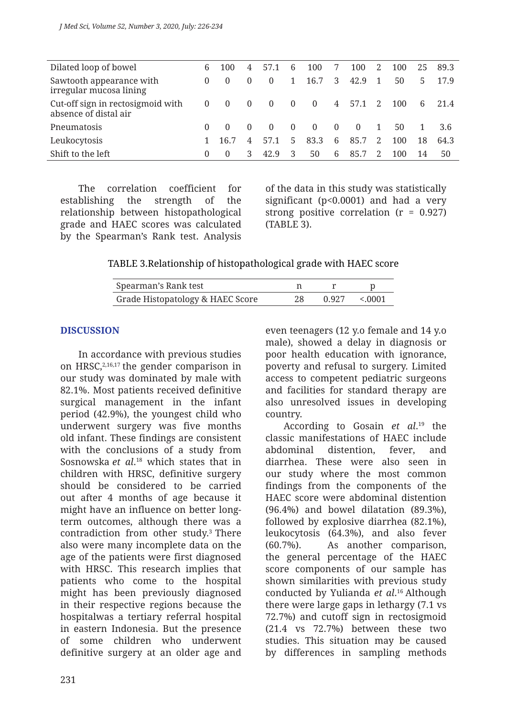| Dilated loop of bowel                                      | 6        | 100            | 4              | 57.1           | 6              | 100            | 7        | 100      | 2            | 100 | 25 | 89.3 |
|------------------------------------------------------------|----------|----------------|----------------|----------------|----------------|----------------|----------|----------|--------------|-----|----|------|
| Sawtooth appearance with<br>irregular mucosa lining        | $\Omega$ | $\Omega$       | $\Omega$       | $\Omega$       | 1.             | 16.7           | 3        | 42.9     | $\mathbf{1}$ | 50  | 5. | 17.9 |
| Cut-off sign in rectosigmoid with<br>absence of distal air | $\theta$ | $\overline{0}$ | $\overline{0}$ | $\overline{0}$ | $\overline{0}$ | $\overline{0}$ |          | 4 57.1   | 2            | 100 | 6  | 21.4 |
| Pneumatosis                                                | 0        | $\Omega$       | $\Omega$       | $\Omega$       | $\Omega$       | $\Omega$       | $\Omega$ | $\Omega$ | 1            | 50  |    | 3.6  |
| Leukocytosis                                               |          | 16.7           | 4              | 57.1           | 5              | 83.3           | 6        | 85.7     | 2            | 100 | 18 | 64.3 |
| Shift to the left                                          | 0        | $\Omega$       | 3              | 42.9           | -3             | 50             | 6        | 85.7     |              | 100 | 14 | 50   |

The correlation coefficient for establishing the strength of the relationship between histopathological grade and HAEC scores was calculated by the Spearman's Rank test. Analysis of the data in this study was statistically significant (p<0.0001) and had a very strong positive correlation  $(r = 0.927)$ (TABLE 3).

#### TABLE 3.Relationship of histopathological grade with HAEC score

| Spearman's Rank test             |     |                      |
|----------------------------------|-----|----------------------|
| Grade Histopatology & HAEC Score | 28. | $0.927 \times 0.001$ |

### **DISCUSSION**

In accordance with previous studies on HRSC, $2,16,17$  the gender comparison in our study was dominated by male with 82.1%. Most patients received definitive surgical management in the infant period (42.9%), the youngest child who underwent surgery was five months old infant. These findings are consistent with the conclusions of a study from Sosnowska *et al*. 18 which states that in children with HRSC, definitive surgery should be considered to be carried out after 4 months of age because it might have an influence on better longterm outcomes, although there was a contradiction from other study.<sup>3</sup> There also were many incomplete data on the age of the patients were first diagnosed with HRSC. This research implies that patients who come to the hospital might has been previously diagnosed in their respective regions because the hospitalwas a tertiary referral hospital in eastern Indonesia. But the presence of some children who underwent definitive surgery at an older age and

even teenagers (12 y.o female and 14 y.o male), showed a delay in diagnosis or poor health education with ignorance, poverty and refusal to surgery. Limited access to competent pediatric surgeons and facilities for standard therapy are also unresolved issues in developing country.

According to Gosain *et al*. 19 the classic manifestations of HAEC include abdominal distention, fever, and diarrhea. These were also seen in our study where the most common findings from the components of the HAEC score were abdominal distention (96.4%) and bowel dilatation (89.3%), followed by explosive diarrhea (82.1%), leukocytosis (64.3%), and also fever (60.7%). As another comparison, the general percentage of the HAEC score components of our sample has shown similarities with previous study conducted by Yulianda *et al*. 16 Although there were large gaps in lethargy (7.1 vs 72.7%) and cutoff sign in rectosigmoid (21.4 vs 72.7%) between these two studies. This situation may be caused by differences in sampling methods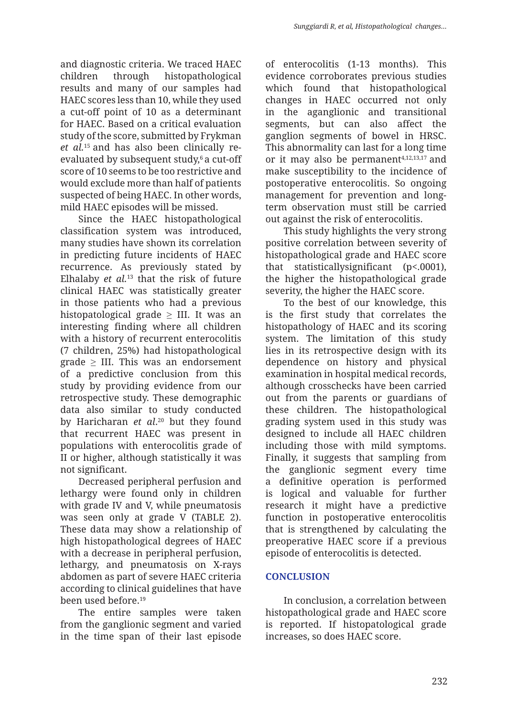and diagnostic criteria. We traced HAEC children through histopathological results and many of our samples had HAEC scores less than 10, while they used a cut-off point of 10 as a determinant for HAEC. Based on a critical evaluation study of the score, submitted by Frykman *et al.*15 and has also been clinically reevaluated by subsequent study,<sup>6</sup> a cut-off score of 10 seems to be too restrictive and would exclude more than half of patients suspected of being HAEC. In other words, mild HAEC episodes will be missed.

Since the HAEC histopathological classification system was introduced, many studies have shown its correlation in predicting future incidents of HAEC recurrence. As previously stated by Elhalaby *et al.*13 that the risk of future clinical HAEC was statistically greater in those patients who had a previous histopatological grade  $\geq$  III. It was an interesting finding where all children with a history of recurrent enterocolitis (7 children, 25%) had histopathological grade  $\geq$  III. This was an endorsement of a predictive conclusion from this study by providing evidence from our retrospective study. These demographic data also similar to study conducted by Haricharan *et al*. 20 but they found that recurrent HAEC was present in populations with enterocolitis grade of II or higher, although statistically it was not significant.

Decreased peripheral perfusion and lethargy were found only in children with grade IV and V, while pneumatosis was seen only at grade V (TABLE 2). These data may show a relationship of high histopathological degrees of HAEC with a decrease in peripheral perfusion, lethargy, and pneumatosis on X-rays abdomen as part of severe HAEC criteria according to clinical guidelines that have been used before.19

The entire samples were taken from the ganglionic segment and varied in the time span of their last episode of enterocolitis (1-13 months). This evidence corroborates previous studies which found that histopathological changes in HAEC occurred not only in the aganglionic and transitional segments, but can also affect the ganglion segments of bowel in HRSC. This abnormality can last for a long time or it may also be permanent $4,12,13,17$  and make susceptibility to the incidence of postoperative enterocolitis. So ongoing management for prevention and longterm observation must still be carried out against the risk of enterocolitis.

This study highlights the very strong positive correlation between severity of histopathological grade and HAEC score that statisticallysignificant (p<.0001), the higher the histopathological grade severity, the higher the HAEC score.

To the best of our knowledge, this is the first study that correlates the histopathology of HAEC and its scoring system. The limitation of this study lies in its retrospective design with its dependence on history and physical examination in hospital medical records, although crosschecks have been carried out from the parents or guardians of these children. The histopathological grading system used in this study was designed to include all HAEC children including those with mild symptoms. Finally, it suggests that sampling from the ganglionic segment every time a definitive operation is performed is logical and valuable for further research it might have a predictive function in postoperative enterocolitis that is strengthened by calculating the preoperative HAEC score if a previous episode of enterocolitis is detected.

# **CONCLUSION**

In conclusion, a correlation between histopathological grade and HAEC score is reported. If histopatological grade increases, so does HAEC score.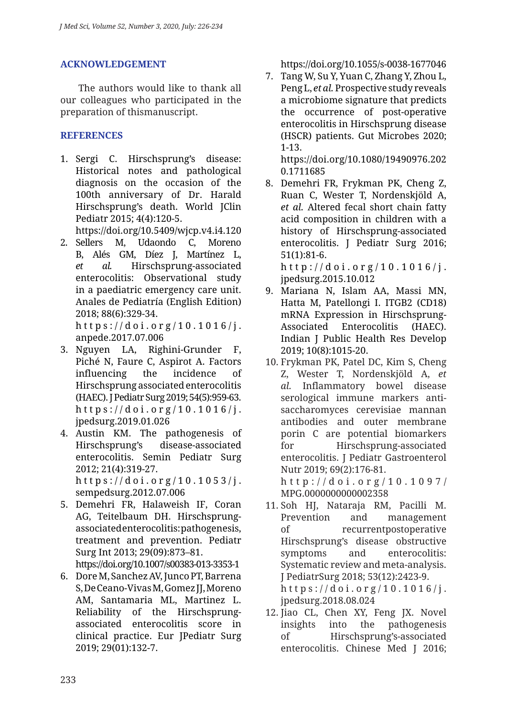# **ACKNOWLEDGEMENT**

The authors would like to thank all our colleagues who participated in the preparation of thismanuscript.

# **REFERENCES**

1. Sergi C. Hirschsprung's disease: Historical notes and pathological diagnosis on the occasion of the 100th anniversary of Dr. Harald Hirschsprung's death. World JClin Pediatr 2015; 4(4):120-5.

https://doi.org/10.5409/wjcp.v4.i4.120

2. Sellers M, Udaondo C, Moreno B, Alés GM, Díez J, Martínez L, *et al.* Hirschsprung-associated enterocolitis: Observational study in a paediatric emergency care unit. Anales de Pediatría (English Edition) 2018; 88(6):329-34.

https://doi.org/10.1016/j. anpede.2017.07.006

- 3. Nguyen LA, Righini-Grunder F, Piché N, Faure C, Aspirot A. Factors influencing the incidence of Hirschsprung associated enterocolitis (HAEC). J Pediatr Surg 2019; 54(5):959-63. https://doi.org/10.1016/j. jpedsurg.2019.01.026
- 4. Austin KM. The pathogenesis of Hirschsprung's disease-associated enterocolitis. Semin Pediatr Surg 2012; 21(4):319-27. https://doi.org/10.1053/j. sempedsurg.2012.07.006
- 5. Demehri FR, Halaweish IF, Coran AG, Teitelbaum DH. Hirschsprungassociated enterocolitis: pathogenesis, treatment and prevention. Pediatr Surg Int 2013; 29(09):873–81. https://doi.org/10.1007/s00383-013-3353-1
- 6. Dore M, Sanchez AV, Junco PT, Barrena S, De Ceano-Vivas M, Gomez JJ, Moreno AM, Santamaria ML, Martinez L. Reliability of the Hirschsprungassociated enterocolitis score in clinical practice. Eur JPediatr Surg 2019; 29(01):132-7.

https://doi.org/10.1055/s-0038-1677046

7. Tang W, Su Y, Yuan C, Zhang Y, Zhou L, Peng L, *et al.* Prospective study reveals a microbiome signature that predicts the occurrence of post-operative enterocolitis in Hirschsprung disease (HSCR) patients. Gut Microbes 2020; 1-13.

https://doi.org/10.1080/19490976.202 0.1711685

8. Demehri FR, Frykman PK, Cheng Z, Ruan C, Wester T, Nordenskjöld A, *et al.* Altered fecal short chain fatty acid composition in children with a history of Hirschsprung-associated enterocolitis. J Pediatr Surg 2016; 51(1):81-6. http://doi.org/10.1016/j.

jpedsurg.2015.10.012 9. Mariana N, Islam AA, Massi MN, Hatta M, Patellongi I. ITGB2 (CD18) mRNA Expression in Hirschsprung-Associated Enterocolitis (HAEC).

Indian J Public Health Res Develop 2019; 10(8):1015-20. 10. Frykman PK, Patel DC, Kim S, Cheng Z, Wester T, Nordenskjöld A, *et al.* Inflammatory bowel disease serological immune markers antisaccharomyces cerevisiae mannan

antibodies and outer membrane porin C are potential biomarkers for Hirschsprung-associated enterocolitis. J Pediatr Gastroenterol Nutr 2019; 69(2):176-81.

http://doi.org/10.1097/ MPG.0000000000002358

- 11. Soh HJ, Nataraja RM, Pacilli M. Prevention and management of recurrentpostoperative Hirschsprung's disease obstructive symptoms and enterocolitis: Systematic review and meta-analysis. J PediatrSurg 2018; 53(12):2423-9. https://doi.org/10.1016/j. jpedsurg.2018.08.024
- 12. Jiao CL, Chen XY, Feng JX. Novel insights into the pathogenesis of Hirschsprung's-associated enterocolitis. Chinese Med J 2016;